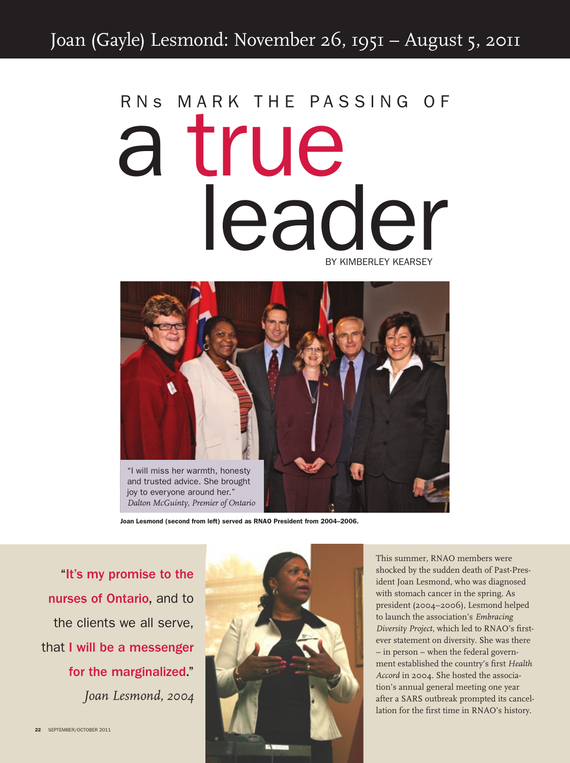## RNS MARK THE PASSING OF a true leader by Kimberley Kearsey



Joan Lesmond (second from left) served as RNAO President from 2004–2006.

"It's my promise to the nurses of Ontario, and to the clients we all serve, that I will be a messenger for the marginalized." *Joan Lesmond, 2004*



This summer, RNAO members were shocked by the sudden death of Past-President Joan Lesmond, who was diagnosed with stomach cancer in the spring. As president (2004–2006), Lesmond helped to launch the association's *Embracing Diversity Project*, which led to RNAO's firstever statement on diversity. She was there – in person – when the federal government established the country's first *Health Accord* in 2004. She hosted the association's annual general meeting one year after a SARS outbreak prompted its cancellation for the first time in RNAO's history.